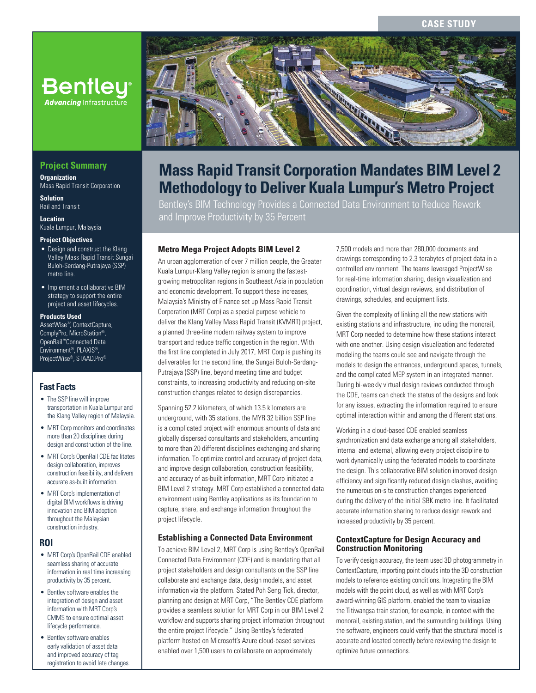#### **CASE STUDY**



# **Mass Rapid Transit Corporation Mandates BIM Level 2 Methodology to Deliver Kuala Lumpur's Metro Project**

Bentley's BIM Technology Provides a Connected Data Environment to Reduce Rework and Improve Productivity by 35 Percent

## **Metro Mega Project Adopts BIM Level 2**

An urban agglomeration of over 7 million people, the Greater Kuala Lumpur-Klang Valley region is among the fastestgrowing metropolitan regions in Southeast Asia in population and economic development. To support these increases, Malaysia's Ministry of Finance set up Mass Rapid Transit Corporation (MRT Corp) as a special purpose vehicle to deliver the Klang Valley Mass Rapid Transit (KVMRT) project, a planned three-line modern railway system to improve transport and reduce traffic congestion in the region. With the first line completed in July 2017, MRT Corp is pushing its deliverables for the second line, the Sungai Buloh-Serdang-Putrajaya (SSP) line, beyond meeting time and budget constraints, to increasing productivity and reducing on-site construction changes related to design discrepancies.

Spanning 52.2 kilometers, of which 13.5 kilometers are underground, with 35 stations, the MYR 32 billion SSP line is a complicated project with enormous amounts of data and globally dispersed consultants and stakeholders, amounting to more than 20 different disciplines exchanging and sharing information. To optimize control and accuracy of project data, and improve design collaboration, construction feasibility, and accuracy of as-built information, MRT Corp initiated a BIM Level 2 strategy. MRT Corp established a connected data environment using Bentley applications as its foundation to capture, share, and exchange information throughout the project lifecycle.

#### **Establishing a Connected Data Environment**

To achieve BIM Level 2, MRT Corp is using Bentley's OpenRail Connected Data Environment (CDE) and is mandating that all project stakeholders and design consultants on the SSP line collaborate and exchange data, design models, and asset information via the platform. Stated Poh Seng Tiok, director, planning and design at MRT Corp, "The Bentley CDE platform provides a seamless solution for MRT Corp in our BIM Level 2 workflow and supports sharing project information throughout the entire project lifecycle." Using Bentley's federated platform hosted on Microsoft's Azure cloud-based services enabled over 1,500 users to collaborate on approximately

7,500 models and more than 280,000 documents and drawings corresponding to 2.3 terabytes of project data in a controlled environment. The teams leveraged ProjectWise for real-time information sharing, design visualization and coordination, virtual design reviews, and distribution of drawings, schedules, and equipment lists.

Given the complexity of linking all the new stations with existing stations and infrastructure, including the monorail, MRT Corp needed to determine how these stations interact with one another. Using design visualization and federated modeling the teams could see and navigate through the models to design the entrances, underground spaces, tunnels, and the complicated MEP system in an integrated manner. During bi-weekly virtual design reviews conducted through the CDE, teams can check the status of the designs and look for any issues, extracting the information required to ensure optimal interaction within and among the different stations.

Working in a cloud-based CDE enabled seamless synchronization and data exchange among all stakeholders, internal and external, allowing every project discipline to work dynamically using the federated models to coordinate the design. This collaborative BIM solution improved design efficiency and significantly reduced design clashes, avoiding the numerous on-site construction changes experienced during the delivery of the initial SBK metro line. It facilitated accurate information sharing to reduce design rework and increased productivity by 35 percent.

#### **ContextCapture for Design Accuracy and Construction Monitoring**

To verify design accuracy, the team used 3D photogrammetry in ContextCapture, importing point clouds into the 3D construction models to reference existing conditions. Integrating the BIM models with the point cloud, as well as with MRT Corp's award-winning GIS platform, enabled the team to visualize the Titiwangsa train station, for example, in context with the monorail, existing station, and the surrounding buildings. Using the software, engineers could verify that the structural model is accurate and located correctly before reviewing the design to optimize future connections.

# **Project Summary**

**Organization** Mass Rapid Transit Corporation

**Advancing Infrastructure** 

**Solution** Rail and Transit

**Location** Kuala Lumpur, Malaysia

#### **Project Objectives**

- Design and construct the Klang Valley Mass Rapid Transit Sungai Buloh-Serdang-Putrajaya (SSP) metro line.
- Implement a collaborative BIM strategy to support the entire project and asset lifecycles.

#### **Products Used**

AssetWise*™*, ContextCapture, ComplyPro, MicroStation®, OpenRail*™* Connected Data Environment®, PLAXIS®, ProjectWise®, STAAD.Pro®

## **Fast Facts**

- The SSP line will improve transportation in Kuala Lumpur and the Klang Valley region of Malaysia.
- MRT Corp monitors and coordinates more than 20 disciplines during design and construction of the line.
- MRT Corp's OpenRail CDE facilitates design collaboration, improves construction feasibility, and delivers accurate as-built information.
- MRT Corp's implementation of digital BIM workflows is driving innovation and BIM adoption throughout the Malaysian construction industry.

## **ROI**

- MRT Corp's OpenRail CDE enabled seamless sharing of accurate information in real time increasing productivity by 35 percent.
- Bentley software enables the integration of design and asset information with MRT Corp's CMMS to ensure optimal asset lifecycle performance.
- Bentley software enables early validation of asset data and improved accuracy of tag registration to avoid late changes.